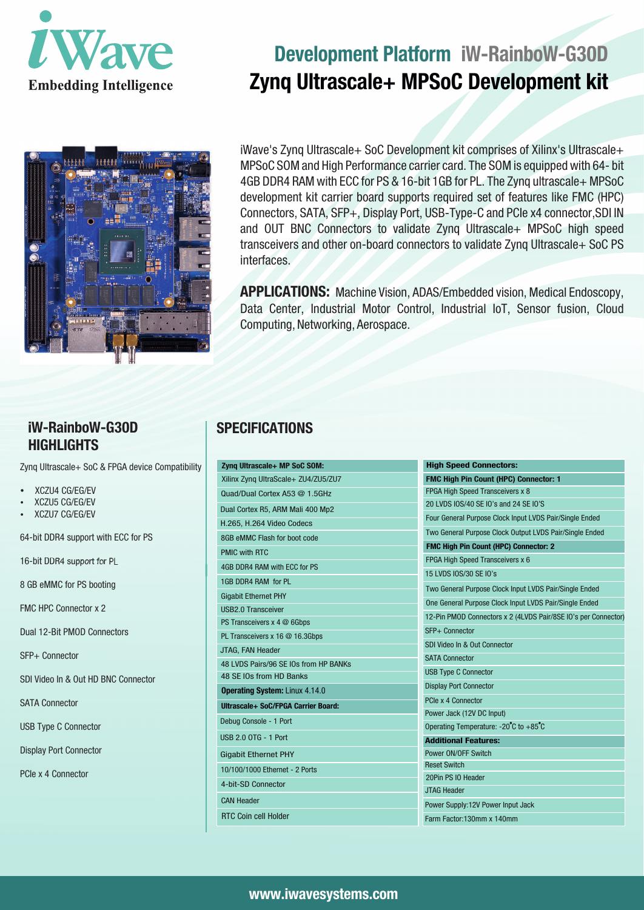

# **Development Platform iW-RainboW-G30D Zynq Ultrascale+ MPSoC Development kit**



Zynq Ultrascale+ SoC & FPGA device Compatibility

XCZU4 CG/EG/EV XCZU5 CG/EG/EV XCZU7 CG/EG/EV

**HIGHLIGHTS** 

16-bit DDR4 support for PL

8 GB eMMC for PS booting

FMC HPC Connector x 2

SFP+ Connector

SATA Connector

USB Type C Connector

Display Port Connector

PCIe x 4 Connector

Dual 12-Bit PMOD Connectors

SDI Video In & Out HD BNC Connector

64-bit DDR4 support with ECC for PS

iWave's Zynq Ultrascale+ SoC Development kit comprises of Xilinx's Ultrascale+ MPSoC SOM and High Performance carrier card. The SOM is equipped with 64- bit 4GB DDR4 RAM with ECC for PS & 16-bit 1GB for PL. The Zynq ultrascale+ MPSoC development kit carrier board supports required set of features like FMC (HPC) Connectors, SATA, SFP+, Display Port, USB-Type-C and PCIe x4 connector,SDI IN and OUT BNC Connectors to validate Zynq Ultrascale+ MPSoC high speed transceivers and other on-board connectors to validate Zynq Ultrascale+ SoC PS interfaces.

**APPLICATIONS:** Machine Vision, ADAS/Embedded vision, Medical Endoscopy, Data Center, Industrial Motor Control, Industrial IoT, Sensor fusion, Cloud Computing, Networking, Aerospace.

## **iW-RainboW-G30D SPECIFICATIONS**

| Zyng Ultrascale+ MP SoC SOM:          |
|---------------------------------------|
| Xilinx Zyng UltraScale+ ZU4/ZU5/ZU7   |
| Quad/Dual Cortex A53 @ 1.5GHz         |
| Dual Cortex R5, ARM Mali 400 Mp2      |
| H.265. H.264 Video Codecs             |
| 8GB eMMC Flash for boot code          |
| <b>PMIC with RTC</b>                  |
| 4GB DDR4 RAM with ECC for PS          |
| 1GB DDR4 RAM for PL                   |
| <b>Gigabit Ethernet PHY</b>           |
| <b>USB2.0 Transceiver</b>             |
| PS Transceivers x 4 @ 6Gbps           |
| PL Transceivers x 16 @ 16.3Gbps       |
| JTAG, FAN Header                      |
| 48 LVDS Pairs/96 SE IOs from HP BANKs |
| 48 SE IOs from HD Banks               |
| <b>Operating System: Linux 4.14.0</b> |
| Ultrascale+ SoC/FPGA Carrier Board:   |
| Debug Console - 1 Port                |
| <b>USB 2.0 OTG - 1 Port</b>           |
| <b>Gigabit Ethernet PHY</b>           |
| 10/100/1000 Fthernet - 2 Ports        |
| 4-bit-SD Connector                    |
| <b>CAN Header</b>                     |
| <b>RTC Coin cell Holder</b>           |

| <b>High Speed Connectors:</b>                                  |
|----------------------------------------------------------------|
| <b>FMC High Pin Count (HPC) Connector: 1</b>                   |
| <b>FPGA High Speed Transceivers x 8</b>                        |
| 20 LVDS IOS/40 SE IO's and 24 SE IO'S                          |
| Four General Purpose Clock Input LVDS Pair/Single Ended        |
| Two General Purpose Clock Output LVDS Pair/Single Ended        |
| <b>FMC High Pin Count (HPC) Connector: 2</b>                   |
| FPGA High Speed Transceivers x 6                               |
| 15 LVDS IOS/30 SE IO's                                         |
| Two General Purpose Clock Input LVDS Pair/Single Ended         |
| One General Purpose Clock Input LVDS Pair/Single Ended         |
| 12-Pin PMOD Connectors x 2 (4LVDS Pair/8SE IO's per Connector) |
| SFP+ Connector                                                 |
| SDI Video In & Out Connector                                   |
| <b>SATA Connector</b>                                          |
| <b>USB Type C Connector</b>                                    |
| <b>Display Port Connector</b>                                  |
| PCIe x 4 Connector                                             |
| Power Jack (12V DC Input)                                      |
| Operating Temperature: -20°C to +85°C                          |
| <b>Additional Features:</b>                                    |
| Power ON/OFF Switch                                            |
| <b>Reset Switch</b>                                            |
| 20Pin PS IO Header                                             |
| <b>JTAG Header</b>                                             |
| Power Supply:12V Power Input Jack                              |
| Farm Factor:130mm x 140mm                                      |

### **www.iwavesystems.com**